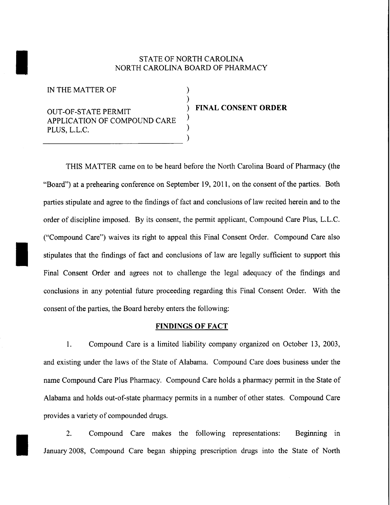## STATE OF NORTH CAROLINA<br>NORTH CAROLINA BOARD OF PHAR NORTH CAROLINA BOARD OF PHARMACY

) )

) ) )

IN THE MATTER OF

OUT-OF-STATE PERMIT APPLICATION OF COMPOUND CARE PLUS, L.L.C. --------------------------------

## ) **FINAL CONSENT ORDER**

THIS MATTER came on to be heard before the North Carolina Board of Pharmacy (the "Board") at a prehearing conference on September 19, 2011, on the consent of the parties. Both parties stipulate and agree to the findings of fact and conclusions of law recited herein and to the order of discipline imposed. By its consent, the permit applicant, Compound Care Plus, L.L.C. ("Compound Care") waives its right to appeal this Final Consent Order. Compound Care also<br>stipulates that the findings of fact and conclusions of law are legally sufficient to support this Final Consent Order and agrees not to challenge the legal adequacy of the findings and conclusions in any potential future proceeding regarding this Final Consent Order. With the consent of the parties, the Board hereby enters the following:

## **FINDINGS OF FACT**

1. Compound Care is a limited liability company organized on October 13, 2003, and existing under the laws of the State of Alabama. Compound Care does business under the name Compound Care Plus Pharmacy. Compound Care holds a pharmacy permit in the State of Alabama and holds out-of-state pharmacy permits in a number of other states. Compound Care provides a variety of compounded drugs.

2. Compound Care makes the following representations: Beginning in January 2008, Compound Care began shipping prescription drugs into the State of North January 2008, Compound Care began shipping prescription drugs into the State of North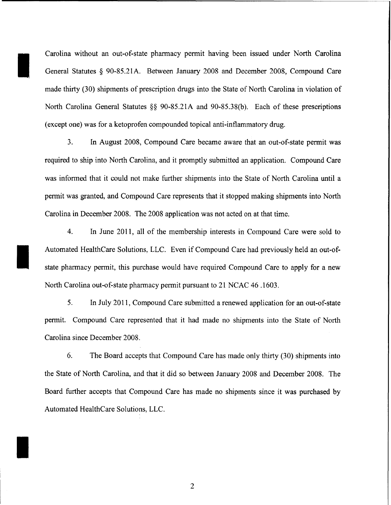Carolina without an out-of-state pharmacy permit having been issued under North Carolina General Statutes § 90-85.21A. Between January 2008 and December 2008, Compound Care made thirty (30) shipments of prescription drugs into the State of North Carolina in violation of North Carolina General Statutes §§ 90-85.21A and 90-85.38(b). Each of these prescriptions (except one) was for a ketoprofen compounded topical anti-inflammatory drug.

I

I

I

3. In August 2008, Compound Care became aware that an out-of-state permit was required to ship into North Carolina, and it promptly submitted an application. Compound Care was informed that it could not make further shipments into the State of North Carolina until a permit was granted, and Compound Care represents that it stopped making shipments into North Carolina in December 2008. The 2008 application was not acted on at that time.

4. In June 2011, all of the membership interests in Compound Care were sold to Automated HealthCare Solutions, LLC. Even if Compound Care had previously held an out-ofstate pharmacy permit, this purchase would have required Compound Care to apply for a new North Carolina out-of-state pharmacy permit pursuant to 21 NCAC 46 .1603.

5. In July 2011, Compound Care submitted a renewed application for an out-of-state permit. Compound Care represented that it had made no shipments into the State of North Carolina since December 2008.

6. The Board accepts that Compound Care has made only thirty (30) shipments into the State of North Carolina, and that it did so between January 2008 and December 2008. The Board further accepts that Compound Care has made no shipments since it was purchased by Automated HealthCare Solutions, LLC.

2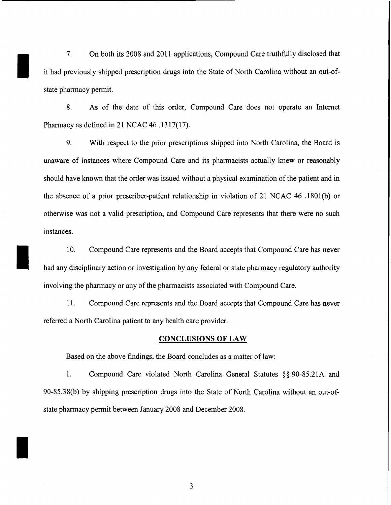7. On both its 2008 and 2011 applications, Compound Care truthfully disclosed that it had previously shipped prescription drugs into the State of North Carolina without an out-ofstate pharmacy permit.

I

I

I

8. As of the date of this order, Compound Care does not operate an Internet Pharmacy as defined in 21 NCAC 46 .1317(17).

9. With respect to the prior prescriptions shipped into North Carolina, the Board is unaware of instances where Compound Care and its pharmacists actually knew or reasonably should have known that the order was issued without a physical examination of the patient and in the absence of a prior prescriber-patient relationship in violation of 21 NCAC 46 .1801 (b) or otherwise was not a valid prescription, and Compound Care represents that there were no such instances.

10. Compound Care represents and the Board accepts that Compound Care has never had any disciplinary action or investigation by any federal or state pharmacy regulatory authority involving the pharmacy or any of the pharmacists associated with Compound Care.

11. Compound Care represents and the Board accepts that Compound Care has never referred a North Carolina patient to any health care provider.

## **CONCLUSIONS OF LAW**

Based on the above findings, the Board concludes as a matter of law:

1. Compound Care violated North Carolina General Statutes §§ 90-85.21A and 90-85.38(b) by shipping prescription drugs into the State of North Carolina without an out-ofstate pharmacy permit between January 2008 and December 2008.

3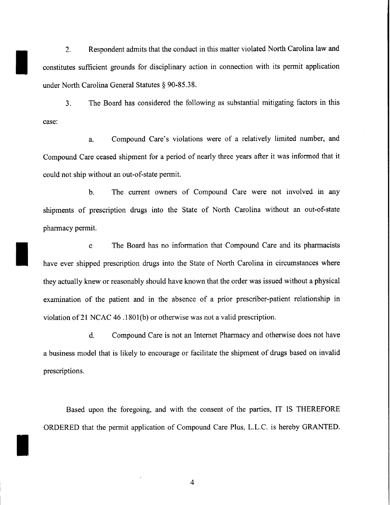2. Respondent admits that the conduct in this matter violated North Carolina law and constitutes sufficient grounds for disciplinary action in connection with its permit application under North Carolina General Statutes § 90-85.38.

I

I

I

3. The Board has considered the following as substantial mitigating factors in this case:

a. Compound Care's violations were of a relatively limited number, and Compound Care ceased shipment for a period of nearly three years after it was informed that it could not ship without an out-of-state permit.

b. The current owners of Compound Care were not involved in any shipments of prescription drugs into the State of North Carolina without an out-of-state pharmacy permit.

c The Board has no information that Compound Care and its pharmacists have ever shipped prescription drugs into the State of North Carolina in circumstances where they actually knew or reasonably should have known that the order was issued without a physical examination of the patient and in the absence of a prior prescriber-patient relationship in violation of21 NCAC 46 .180l(b) or otherwise was not a valid prescription.

d. Compound Care is not an Internet Pharmacy and otherwise does not have a business model that is likely to encourage or facilitate the shipment of drugs based on invalid prescriptions.

Based upon the foregoing, and with the consent of the parties, IT IS THEREFORE ORDERED that the permit application of Compound Care Plus, L.L.C. is hereby GRANTED.

4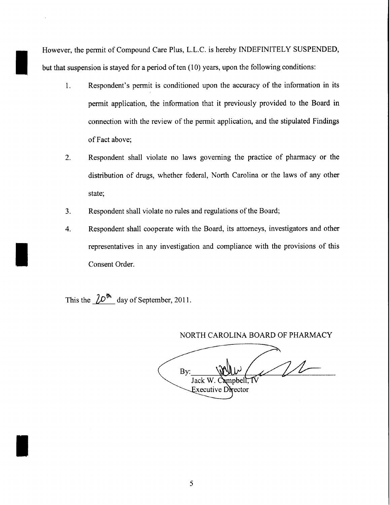However, the permit of Compound Care Plus, L.L.C. is hereby INDEFINITELY SUSPENDED, but that suspension is stayed for a period of ten  $(10)$  years, upon the following conditions:

- 1. Respondent's permit is conditioned upon the accuracy of the information in its permit application, the information that it previously provided to the Board in connection with the review of the permit application, and the stipulated Findings of Fact above;
- 2. Respondent shall violate no laws governing the practice of pharmacy or the distribution of drugs, whether federal, North Carolina or the laws of any other state;
- 3. Respondent shall violate no rules and regulations of the Board;
- 4. Respondent shall cooperate with the Board, its attorneys, investigators and other representatives in any investigation and compliance with the provisions of this Consent Order.

This the  $\frac{10^{th}}{20}$  day of September, 2011.

I

I

I

NORTH CAROLINA BOARD OF PHARMACY

 $11$ By: Jack W Executive Director